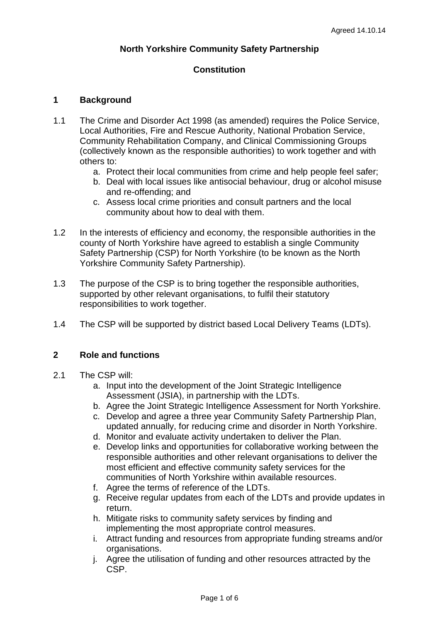## **North Yorkshire Community Safety Partnership**

# **Constitution**

## **1 Background**

- 1.1 The Crime and Disorder Act 1998 (as amended) requires the Police Service, Local Authorities, Fire and Rescue Authority, National Probation Service, Community Rehabilitation Company, and Clinical Commissioning Groups (collectively known as the responsible authorities) to work together and with others to:
	- a. Protect their local communities from crime and help people feel safer;
	- b. Deal with local issues like antisocial behaviour, drug or alcohol misuse and re-offending; and
	- c. Assess local crime priorities and consult partners and the local community about how to deal with them.
- 1.2 In the interests of efficiency and economy, the responsible authorities in the county of North Yorkshire have agreed to establish a single Community Safety Partnership (CSP) for North Yorkshire (to be known as the North Yorkshire Community Safety Partnership).
- 1.3 The purpose of the CSP is to bring together the responsible authorities, supported by other relevant organisations, to fulfil their statutory responsibilities to work together.
- 1.4 The CSP will be supported by district based Local Delivery Teams (LDTs).

#### **2 Role and functions**

- 2.1 The CSP will:
	- a. Input into the development of the Joint Strategic Intelligence Assessment (JSIA), in partnership with the LDTs.
	- b. Agree the Joint Strategic Intelligence Assessment for North Yorkshire.
	- c. Develop and agree a three year Community Safety Partnership Plan, updated annually, for reducing crime and disorder in North Yorkshire.
	- d. Monitor and evaluate activity undertaken to deliver the Plan.
	- e. Develop links and opportunities for collaborative working between the responsible authorities and other relevant organisations to deliver the most efficient and effective community safety services for the communities of North Yorkshire within available resources.
	- f. Agree the terms of reference of the LDTs.
	- g. Receive regular updates from each of the LDTs and provide updates in return.
	- h. Mitigate risks to community safety services by finding and implementing the most appropriate control measures.
	- i. Attract funding and resources from appropriate funding streams and/or organisations.
	- j. Agree the utilisation of funding and other resources attracted by the CSP.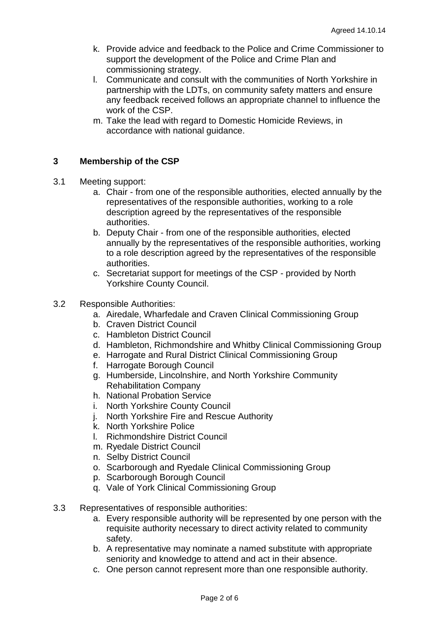- k. Provide advice and feedback to the Police and Crime Commissioner to support the development of the Police and Crime Plan and commissioning strategy.
- l. Communicate and consult with the communities of North Yorkshire in partnership with the LDTs, on community safety matters and ensure any feedback received follows an appropriate channel to influence the work of the CSP.
- m. Take the lead with regard to Domestic Homicide Reviews, in accordance with national guidance.

# **3 Membership of the CSP**

- 3.1 Meeting support:
	- a. Chair from one of the responsible authorities, elected annually by the representatives of the responsible authorities, working to a role description agreed by the representatives of the responsible authorities.
	- b. Deputy Chair from one of the responsible authorities, elected annually by the representatives of the responsible authorities, working to a role description agreed by the representatives of the responsible authorities.
	- c. Secretariat support for meetings of the CSP provided by North Yorkshire County Council.

## 3.2 Responsible Authorities:

- a. Airedale, Wharfedale and Craven Clinical Commissioning Group
- b. Craven District Council
- c. Hambleton District Council
- d. Hambleton, Richmondshire and Whitby Clinical Commissioning Group
- e. Harrogate and Rural District Clinical Commissioning Group
- f. Harrogate Borough Council
- g. Humberside, Lincolnshire, and North Yorkshire Community Rehabilitation Company
- h. National Probation Service
- i. North Yorkshire County Council
- j. North Yorkshire Fire and Rescue Authority
- k. North Yorkshire Police
- l. Richmondshire District Council
- m. Ryedale District Council
- n. Selby District Council
- o. Scarborough and Ryedale Clinical Commissioning Group
- p. Scarborough Borough Council
- q. Vale of York Clinical Commissioning Group
- 3.3 Representatives of responsible authorities:
	- a. Every responsible authority will be represented by one person with the requisite authority necessary to direct activity related to community safety.
	- b. A representative may nominate a named substitute with appropriate seniority and knowledge to attend and act in their absence.
	- c. One person cannot represent more than one responsible authority.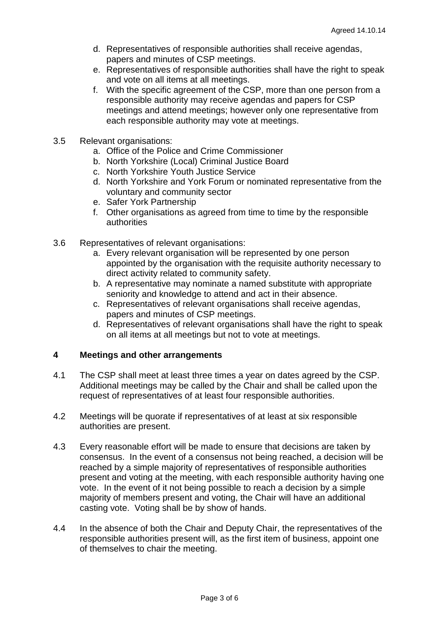- d. Representatives of responsible authorities shall receive agendas, papers and minutes of CSP meetings.
- e. Representatives of responsible authorities shall have the right to speak and vote on all items at all meetings.
- f. With the specific agreement of the CSP, more than one person from a responsible authority may receive agendas and papers for CSP meetings and attend meetings; however only one representative from each responsible authority may vote at meetings.
- 3.5 Relevant organisations:
	- a. Office of the Police and Crime Commissioner
	- b. North Yorkshire (Local) Criminal Justice Board
	- c. North Yorkshire Youth Justice Service
	- d. North Yorkshire and York Forum or nominated representative from the voluntary and community sector
	- e. Safer York Partnership
	- f. Other organisations as agreed from time to time by the responsible authorities
- 3.6 Representatives of relevant organisations:
	- a. Every relevant organisation will be represented by one person appointed by the organisation with the requisite authority necessary to direct activity related to community safety.
	- b. A representative may nominate a named substitute with appropriate seniority and knowledge to attend and act in their absence.
	- c. Representatives of relevant organisations shall receive agendas, papers and minutes of CSP meetings.
	- d. Representatives of relevant organisations shall have the right to speak on all items at all meetings but not to vote at meetings.

#### **4 Meetings and other arrangements**

- 4.1 The CSP shall meet at least three times a year on dates agreed by the CSP. Additional meetings may be called by the Chair and shall be called upon the request of representatives of at least four responsible authorities.
- 4.2 Meetings will be quorate if representatives of at least at six responsible authorities are present.
- 4.3 Every reasonable effort will be made to ensure that decisions are taken by consensus. In the event of a consensus not being reached, a decision will be reached by a simple majority of representatives of responsible authorities present and voting at the meeting, with each responsible authority having one vote. In the event of it not being possible to reach a decision by a simple majority of members present and voting, the Chair will have an additional casting vote. Voting shall be by show of hands.
- 4.4 In the absence of both the Chair and Deputy Chair, the representatives of the responsible authorities present will, as the first item of business, appoint one of themselves to chair the meeting.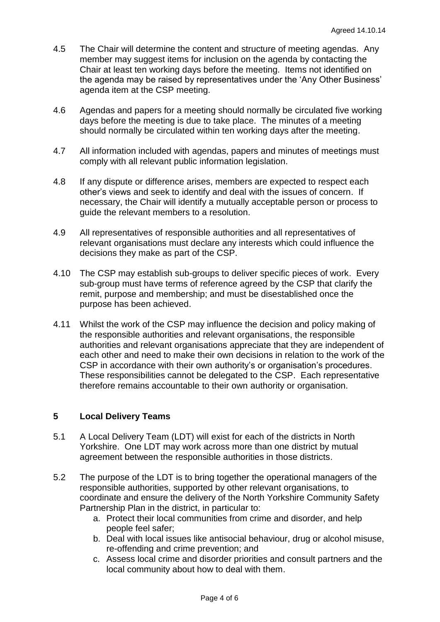- 4.5 The Chair will determine the content and structure of meeting agendas. Any member may suggest items for inclusion on the agenda by contacting the Chair at least ten working days before the meeting. Items not identified on the agenda may be raised by representatives under the 'Any Other Business' agenda item at the CSP meeting.
- 4.6 Agendas and papers for a meeting should normally be circulated five working days before the meeting is due to take place. The minutes of a meeting should normally be circulated within ten working days after the meeting.
- 4.7 All information included with agendas, papers and minutes of meetings must comply with all relevant public information legislation.
- 4.8 If any dispute or difference arises, members are expected to respect each other's views and seek to identify and deal with the issues of concern. If necessary, the Chair will identify a mutually acceptable person or process to guide the relevant members to a resolution.
- 4.9 All representatives of responsible authorities and all representatives of relevant organisations must declare any interests which could influence the decisions they make as part of the CSP.
- 4.10 The CSP may establish sub-groups to deliver specific pieces of work. Every sub-group must have terms of reference agreed by the CSP that clarify the remit, purpose and membership; and must be disestablished once the purpose has been achieved.
- 4.11 Whilst the work of the CSP may influence the decision and policy making of the responsible authorities and relevant organisations, the responsible authorities and relevant organisations appreciate that they are independent of each other and need to make their own decisions in relation to the work of the CSP in accordance with their own authority's or organisation's procedures. These responsibilities cannot be delegated to the CSP. Each representative therefore remains accountable to their own authority or organisation.

# **5 Local Delivery Teams**

- 5.1 A Local Delivery Team (LDT) will exist for each of the districts in North Yorkshire. One LDT may work across more than one district by mutual agreement between the responsible authorities in those districts.
- 5.2 The purpose of the LDT is to bring together the operational managers of the responsible authorities, supported by other relevant organisations, to coordinate and ensure the delivery of the North Yorkshire Community Safety Partnership Plan in the district, in particular to:
	- a. Protect their local communities from crime and disorder, and help people feel safer;
	- b. Deal with local issues like antisocial behaviour, drug or alcohol misuse, re-offending and crime prevention; and
	- c. Assess local crime and disorder priorities and consult partners and the local community about how to deal with them.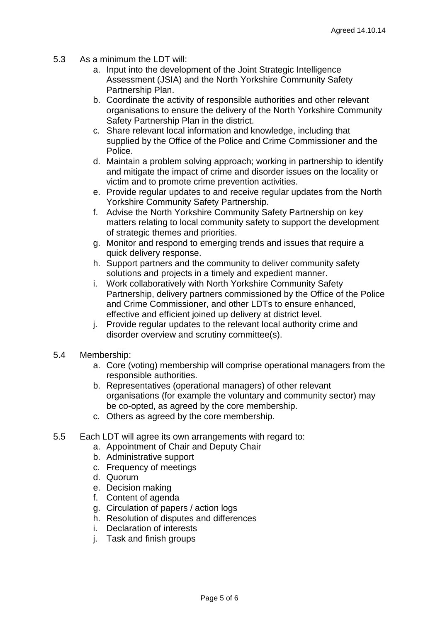- 5.3 As a minimum the LDT will:
	- a. Input into the development of the Joint Strategic Intelligence Assessment (JSIA) and the North Yorkshire Community Safety Partnership Plan.
	- b. Coordinate the activity of responsible authorities and other relevant organisations to ensure the delivery of the North Yorkshire Community Safety Partnership Plan in the district.
	- c. Share relevant local information and knowledge, including that supplied by the Office of the Police and Crime Commissioner and the Police.
	- d. Maintain a problem solving approach; working in partnership to identify and mitigate the impact of crime and disorder issues on the locality or victim and to promote crime prevention activities.
	- e. Provide regular updates to and receive regular updates from the North Yorkshire Community Safety Partnership.
	- f. Advise the North Yorkshire Community Safety Partnership on key matters relating to local community safety to support the development of strategic themes and priorities.
	- g. Monitor and respond to emerging trends and issues that require a quick delivery response.
	- h. Support partners and the community to deliver community safety solutions and projects in a timely and expedient manner.
	- i. Work collaboratively with North Yorkshire Community Safety Partnership, delivery partners commissioned by the Office of the Police and Crime Commissioner, and other LDTs to ensure enhanced, effective and efficient joined up delivery at district level.
	- j. Provide regular updates to the relevant local authority crime and disorder overview and scrutiny committee(s).
- 5.4 Membership:
	- a. Core (voting) membership will comprise operational managers from the responsible authorities.
	- b. Representatives (operational managers) of other relevant organisations (for example the voluntary and community sector) may be co-opted, as agreed by the core membership.
	- c. Others as agreed by the core membership.
- 5.5 Each LDT will agree its own arrangements with regard to:
	- a. Appointment of Chair and Deputy Chair
	- b. Administrative support
	- c. Frequency of meetings
	- d. Quorum
	- e. Decision making
	- f. Content of agenda
	- g. Circulation of papers / action logs
	- h. Resolution of disputes and differences
	- i. Declaration of interests
	- j. Task and finish groups